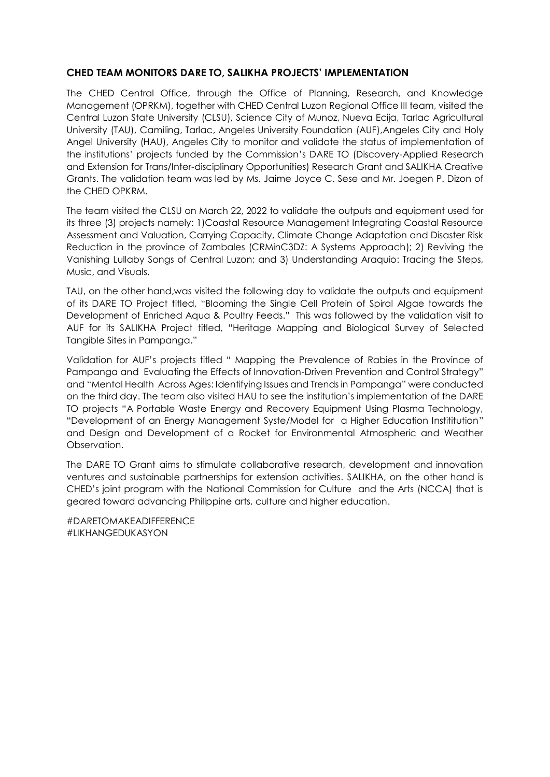## **CHED TEAM MONITORS DARE TO, SALIKHA PROJECTS' IMPLEMENTATION**

The CHED Central Office, through the Office of Planning, Research, and Knowledge Management (OPRKM), together with CHED Central Luzon Regional Office III team, visited the Central Luzon State University (CLSU), Science City of Munoz, Nueva Ecija, Tarlac Agricultural University (TAU), Camiling, Tarlac, Angeles University Foundation (AUF),Angeles City and Holy Angel University (HAU), Angeles City to monitor and validate the status of implementation of the institutions' projects funded by the Commission's DARE TO (Discovery-Applied Research and Extension for Trans/Inter-disciplinary Opportunities) Research Grant and SALIKHA Creative Grants. The validation team was led by Ms. Jaime Joyce C. Sese and Mr. Joegen P. Dizon of the CHED OPKRM.

The team visited the CLSU on March 22, 2022 to validate the outputs and equipment used for its three (3) projects namely: 1)Coastal Resource Management Integrating Coastal Resource Assessment and Valuation, Carrying Capacity, Climate Change Adaptation and Disaster Risk Reduction in the province of Zambales (CRMinC3DZ: A Systems Approach); 2) Reviving the Vanishing Lullaby Songs of Central Luzon; and 3) Understanding Araquio: Tracing the Steps, Music, and Visuals.

TAU, on the other hand,was visited the following day to validate the outputs and equipment of its DARE TO Project titled, "Blooming the Single Cell Protein of Spiral Algae towards the Development of Enriched Aqua & Poultry Feeds." This was followed by the validation visit to AUF for its SALIKHA Project titled, "Heritage Mapping and Biological Survey of Selected Tangible Sites in Pampanga."

Validation for AUF's projects titled " Mapping the Prevalence of Rabies in the Province of Pampanga and Evaluating the Effects of Innovation-Driven Prevention and Control Strategy" and "Mental Health Across Ages: Identifying Issues and Trends in Pampanga" were conducted on the third day. The team also visited HAU to see the institution's implementation of the DARE TO projects "A Portable Waste Energy and Recovery Equipment Using Plasma Technology, "Development of an Energy Management Syste/Model for a Higher Education Instititution" and Design and Development of a Rocket for Environmental Atmospheric and Weather Observation.

The DARE TO Grant aims to stimulate collaborative research, development and innovation ventures and sustainable partnerships for extension activities. SALIKHA, on the other hand is CHED's joint program with the National Commission for Culture and the Arts (NCCA) that is geared toward advancing Philippine arts, culture and higher education.

#DARETOMAKEADIFFERENCE #LIKHANGEDUKASYON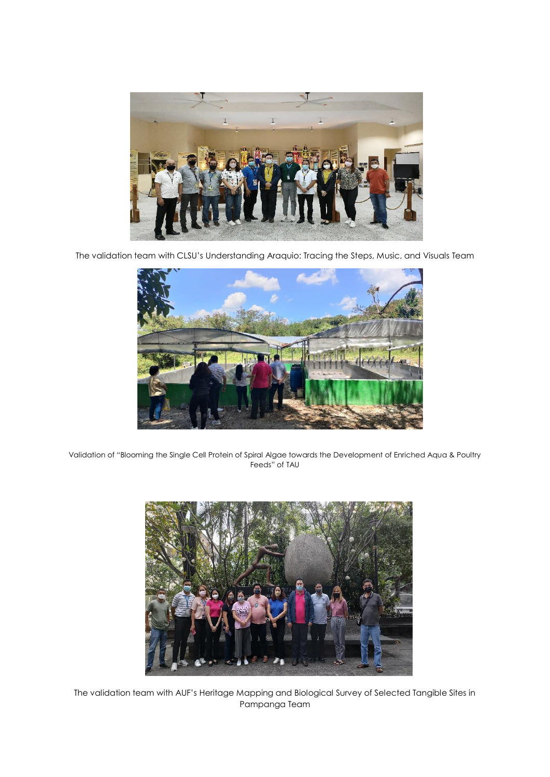

The validation team with CLSU's Understanding Araquio: Tracing the Steps, Music, and Visuals Team



Validation of "Blooming the Single Cell Protein of Spiral Algae towards the Development of Enriched Aqua & Poultry Feeds" of TAU



The validation team with AUF's Heritage Mapping and Biological Survey of Selected Tangible Sites in Pampanga Team